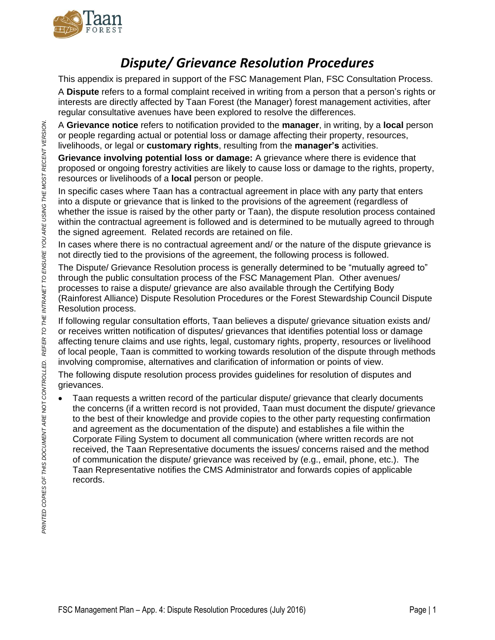

## *Dispute/ Grievance Resolution Procedures*

This appendix is prepared in support of the FSC Management Plan, FSC Consultation Process.

A **Dispute** refers to a formal complaint received in writing from a person that a person's rights or interests are directly affected by Taan Forest (the Manager) forest management activities, after regular consultative avenues have been explored to resolve the differences.

A **Grievance notice** refers to notification provided to the **manager**, in writing, by a **local** person or people regarding actual or potential loss or damage affecting their property, resources, livelihoods, or legal or **customary rights**, resulting from the **manager's** activities.

**Grievance involving potential loss or damage:** A grievance where there is evidence that proposed or ongoing forestry activities are likely to cause loss or damage to the rights, property, resources or livelihoods of a **local** person or people.

In specific cases where Taan has a contractual agreement in place with any party that enters into a dispute or grievance that is linked to the provisions of the agreement (regardless of whether the issue is raised by the other party or Taan), the dispute resolution process contained within the contractual agreement is followed and is determined to be mutually agreed to through the signed agreement. Related records are retained on file.

In cases where there is no contractual agreement and/ or the nature of the dispute grievance is not directly tied to the provisions of the agreement, the following process is followed.

The Dispute/ Grievance Resolution process is generally determined to be "mutually agreed to" through the public consultation process of the FSC Management Plan. Other avenues/ processes to raise a dispute/ grievance are also available through the Certifying Body (Rainforest Alliance) Dispute Resolution Procedures or the Forest Stewardship Council Dispute Resolution process.

If following regular consultation efforts, Taan believes a dispute/ grievance situation exists and/ or receives written notification of disputes/ grievances that identifies potential loss or damage affecting tenure claims and use rights, legal, customary rights, property, resources or livelihood of local people, Taan is committed to working towards resolution of the dispute through methods involving compromise, alternatives and clarification of information or points of view.

The following dispute resolution process provides guidelines for resolution of disputes and grievances.

 Taan requests a written record of the particular dispute/ grievance that clearly documents the concerns (if a written record is not provided, Taan must document the dispute/ grievance to the best of their knowledge and provide copies to the other party requesting confirmation and agreement as the documentation of the dispute) and establishes a file within the Corporate Filing System to document all communication (where written records are not received, the Taan Representative documents the issues/ concerns raised and the method of communication the dispute/ grievance was received by (e.g., email, phone, etc.). The Taan Representative notifies the CMS Administrator and forwards copies of applicable records.